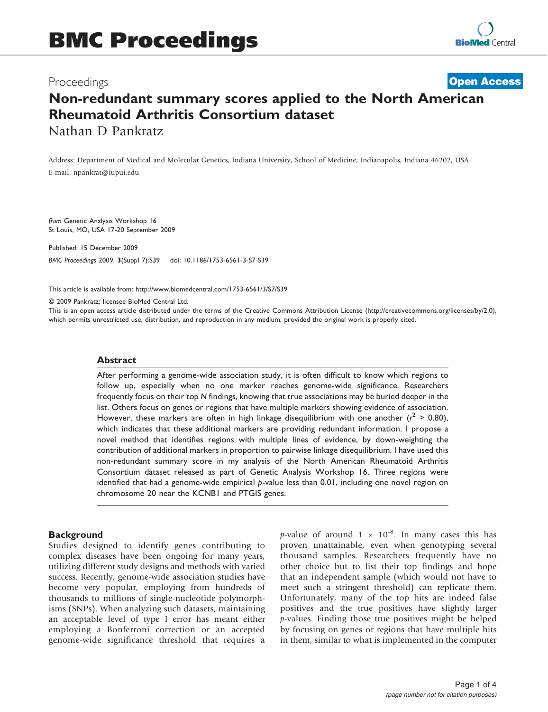# Proceedings

# Non-redundant summary scores applied to the North American Rheumatoid Arthritis Consortium dataset Nathan D Pankratz **[Open Access](http://www.biomedcentral.com/info/about/charter/)**

Address: Department of Medical and Molecular Genetics, Indiana University, School of Medicine, Indianapolis, Indiana 46202, USA E-mail: [npankrat@iupui.edu](mailto:npankrat@iupui.edu)

from Genetic Analysis Workshop 16 St Louis, MO, USA 17-20 September 2009

Published: 15 December 2009 BMC Proceedings 2009, 3(Suppl 7):S39 doi: 10.1186/1753-6561-3-S7-S39

This article is available from: http://www.biomedcentral.com/1753-6561/3/S7/S39

© 2009 Pankratz; licensee BioMed Central Ltd.

This is an open access article distributed under the terms of the Creative Commons Attribution License [\(http://creativecommons.org/licenses/by/2.0\)](http://creativecommons.org/licenses/by/2.0), which permits unrestricted use, distribution, and reproduction in any medium, provided the original work is properly cited.

#### Abstract

After performing a genome-wide association study, it is often difficult to know which regions to follow up, especially when no one marker reaches genome-wide significance. Researchers frequently focus on their top N findings, knowing that true associations may be buried deeper in the list. Others focus on genes or regions that have multiple markers showing evidence of association. However, these markers are often in high linkage disequilibrium with one another ( $r^2 > 0.80$ ), which indicates that these additional markers are providing redundant information. I propose a novel method that identifies regions with multiple lines of evidence, by down-weighting the contribution of additional markers in proportion to pairwise linkage disequilibrium. I have used this non-redundant summary score in my analysis of the North American Rheumatoid Arthritis Consortium dataset released as part of Genetic Analysis Workshop 16. Three regions were identified that had a genome-wide empirical p-value less than 0.01, including one novel region on chromosome 20 near the KCNB1 and PTGIS genes.

#### **Background**

Studies designed to identify genes contributing to complex diseases have been ongoing for many years, utilizing different study designs and methods with varied success. Recently, genome-wide association studies have become very popular, employing from hundreds of thousands to millions of single-nucleotide polymorphisms (SNPs). When analyzing such datasets, maintaining an acceptable level of type I error has meant either employing a Bonferroni correction or an accepted genome-wide significance threshold that requires a p-value of around  $1 \times 10^{-8}$ . In many cases this has proven unattainable, even when genotyping several thousand samples. Researchers frequently have no other choice but to list their top findings and hope that an independent sample (which would not have to meet such a stringent threshold) can replicate them. Unfortunately, many of the top hits are indeed false positives and the true positives have slightly larger p-values. Finding those true positives might be helped by focusing on genes or regions that have multiple hits in them, similar to what is implemented in the computer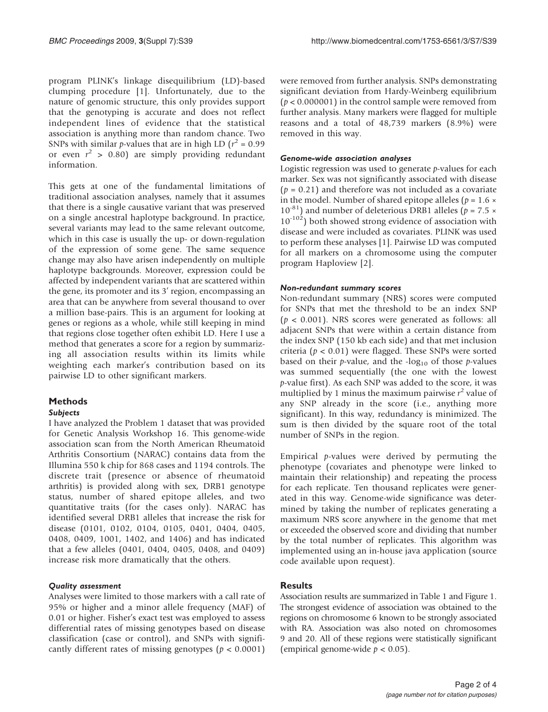program PLINK's linkage disequilibrium (LD)-based clumping procedure [\[1\]](#page-3-0). Unfortunately, due to the nature of genomic structure, this only provides support that the genotyping is accurate and does not reflect independent lines of evidence that the statistical association is anything more than random chance. Two SNPs with similar *p*-values that are in high LD ( $r^2$  = 0.99 or even  $r^2 > 0.80$ ) are simply providing redundant information.

This gets at one of the fundamental limitations of traditional association analyses, namely that it assumes that there is a single causative variant that was preserved on a single ancestral haplotype background. In practice, several variants may lead to the same relevant outcome, which in this case is usually the up- or down-regulation of the expression of some gene. The same sequence change may also have arisen independently on multiple haplotype backgrounds. Moreover, expression could be affected by independent variants that are scattered within the gene, its promoter and its 3' region, encompassing an area that can be anywhere from several thousand to over a million base-pairs. This is an argument for looking at genes or regions as a whole, while still keeping in mind that regions close together often exhibit LD. Here I use a method that generates a score for a region by summarizing all association results within its limits while weighting each marker's contribution based on its pairwise LD to other significant markers.

# Methods

## Subjects

I have analyzed the Problem 1 dataset that was provided for Genetic Analysis Workshop 16. This genome-wide association scan from the North American Rheumatoid Arthritis Consortium (NARAC) contains data from the Illumina 550 k chip for 868 cases and 1194 controls. The discrete trait (presence or absence of rheumatoid arthritis) is provided along with sex, DRB1 genotype status, number of shared epitope alleles, and two quantitative traits (for the cases only). NARAC has identified several DRB1 alleles that increase the risk for disease (0101, 0102, 0104, 0105, 0401, 0404, 0405, 0408, 0409, 1001, 1402, and 1406) and has indicated that a few alleles (0401, 0404, 0405, 0408, and 0409) increase risk more dramatically that the others.

## Quality assessment

Analyses were limited to those markers with a call rate of 95% or higher and a minor allele frequency (MAF) of 0.01 or higher. Fisher's exact test was employed to assess differential rates of missing genotypes based on disease classification (case or control), and SNPs with significantly different rates of missing genotypes ( $p < 0.0001$ )

were removed from further analysis. SNPs demonstrating significant deviation from Hardy-Weinberg equilibrium  $(p < 0.000001)$  in the control sample were removed from further analysis. Many markers were flagged for multiple reasons and a total of 48,739 markers (8.9%) were removed in this way.

# Genome-wide association analyses

Logistic regression was used to generate p-values for each marker. Sex was not significantly associated with disease  $(p = 0.21)$  and therefore was not included as a covariate in the model. Number of shared epitope alleles ( $p = 1.6 \times$  $10^{-81}$ ) and number of deleterious DRB1 alleles ( $p = 7.5 \times$  $10^{-102}$ ) both showed strong evidence of association with disease and were included as covariates. PLINK was used to perform these analyses [\[1\]](#page-3-0). Pairwise LD was computed for all markers on a chromosome using the computer program Haploview [[2](#page-3-0)].

## Non-redundant summary scores

Non-redundant summary (NRS) scores were computed for SNPs that met the threshold to be an index SNP  $(p < 0.001)$ . NRS scores were generated as follows: all adjacent SNPs that were within a certain distance from the index SNP (150 kb each side) and that met inclusion criteria ( $p < 0.01$ ) were flagged. These SNPs were sorted based on their  $p$ -value, and the -log<sub>10</sub> of those  $p$ -values was summed sequentially (the one with the lowest p-value first). As each SNP was added to the score, it was multiplied by 1 minus the maximum pairwise  $r^2$  value of any SNP already in the score (i.e., anything more significant). In this way, redundancy is minimized. The sum is then divided by the square root of the total number of SNPs in the region.

Empirical  $p$ -values were derived by permuting the phenotype (covariates and phenotype were linked to maintain their relationship) and repeating the process for each replicate. Ten thousand replicates were generated in this way. Genome-wide significance was determined by taking the number of replicates generating a maximum NRS score anywhere in the genome that met or exceeded the observed score and dividing that number by the total number of replicates. This algorithm was implemented using an in-house java application (source code available upon request).

# **Results**

Association results are summarized in [Table 1](#page-2-0) and [Figure 1.](#page-2-0) The strongest evidence of association was obtained to the regions on chromosome 6 known to be strongly associated with RA. Association was also noted on chromosomes 9 and 20. All of these regions were statistically significant (empirical genome-wide  $p < 0.05$ ).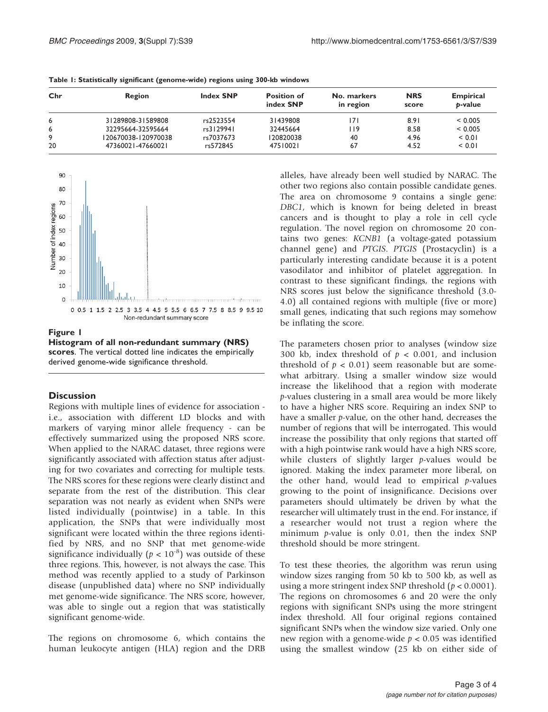| Chr | Region              | <b>Index SNP</b> | <b>Position of</b><br>index SNP | No. markers<br>in region | <b>NRS</b><br>score | <b>Empirical</b><br>b-value |
|-----|---------------------|------------------|---------------------------------|--------------------------|---------------------|-----------------------------|
| 6   | 31289808-31589808   | rs2523554        | 31439808                        | 171                      | 8.91                | < 0.005                     |
| 6   | 32295664-32595664   | rs3129941        | 32445664                        | l 19                     | 8.58                | < 0.005                     |
| 9   | 120670038-120970038 | rs7037673        | 120820038                       | 40                       | 4.96                | < 0.01                      |
| 20  | 47360021-47660021   | rs572845         | 47510021                        | 67                       | 4.52                | < 0.01                      |

<span id="page-2-0"></span>Table 1: Statistically significant (genome-wide) regions using 300-kb windows



Figure 1

Histogram of all non-redundant summary (NRS) scores. The vertical dotted line indicates the empirically derived genome-wide significance threshold.

#### **Discussion**

Regions with multiple lines of evidence for association i.e., association with different LD blocks and with markers of varying minor allele frequency - can be effectively summarized using the proposed NRS score. When applied to the NARAC dataset, three regions were significantly associated with affection status after adjusting for two covariates and correcting for multiple tests. The NRS scores for these regions were clearly distinct and separate from the rest of the distribution. This clear separation was not nearly as evident when SNPs were listed individually (pointwise) in a table. In this application, the SNPs that were individually most significant were located within the three regions identified by NRS, and no SNP that met genome-wide significance individually ( $p < 10^{-8}$ ) was outside of these three regions. This, however, is not always the case. This method was recently applied to a study of Parkinson disease (unpublished data) where no SNP individually met genome-wide significance. The NRS score, however, was able to single out a region that was statistically significant genome-wide.

The regions on chromosome 6, which contains the human leukocyte antigen (HLA) region and the DRB

alleles, have already been well studied by NARAC. The other two regions also contain possible candidate genes. The area on chromosome 9 contains a single gene: DBC1, which is known for being deleted in breast cancers and is thought to play a role in cell cycle regulation. The novel region on chromosome 20 contains two genes: KCNB1 (a voltage-gated potassium channel gene) and PTGIS. PTGIS (Prostacyclin) is a particularly interesting candidate because it is a potent vasodilator and inhibitor of platelet aggregation. In contrast to these significant findings, the regions with NRS scores just below the significance threshold (3.0- 4.0) all contained regions with multiple (five or more) small genes, indicating that such regions may somehow be inflating the score.

The parameters chosen prior to analyses (window size 300 kb, index threshold of  $p < 0.001$ , and inclusion threshold of  $p < 0.01$ ) seem reasonable but are somewhat arbitrary. Using a smaller window size would increase the likelihood that a region with moderate p-values clustering in a small area would be more likely to have a higher NRS score. Requiring an index SNP to have a smaller p-value, on the other hand, decreases the number of regions that will be interrogated. This would increase the possibility that only regions that started off with a high pointwise rank would have a high NRS score, while clusters of slightly larger p-values would be ignored. Making the index parameter more liberal, on the other hand, would lead to empirical  $p$ -values growing to the point of insignificance. Decisions over parameters should ultimately be driven by what the researcher will ultimately trust in the end. For instance, if a researcher would not trust a region where the minimum  $p$ -value is only 0.01, then the index SNP threshold should be more stringent.

To test these theories, the algorithm was rerun using window sizes ranging from 50 kb to 500 kb, as well as using a more stringent index SNP threshold ( $p < 0.0001$ ). The regions on chromosomes 6 and 20 were the only regions with significant SNPs using the more stringent index threshold. All four original regions contained significant SNPs when the window size varied. Only one new region with a genome-wide  $p < 0.05$  was identified using the smallest window (25 kb on either side of